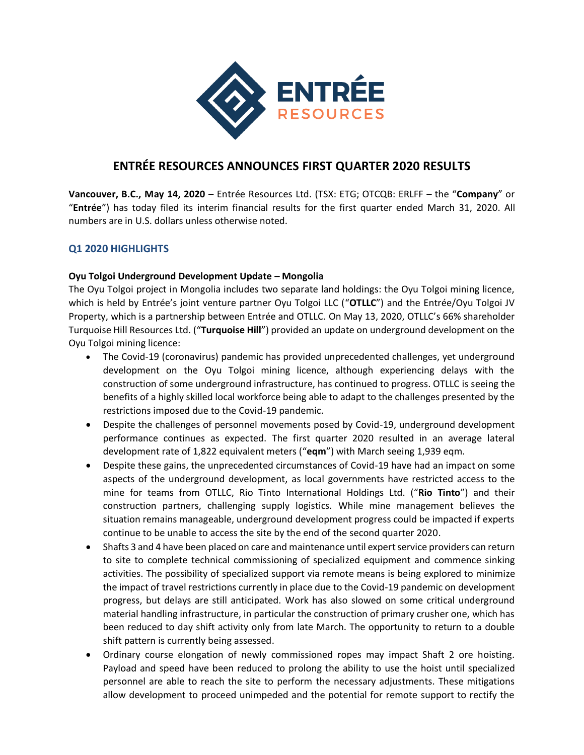

# **ENTRÉE RESOURCES ANNOUNCES FIRST QUARTER 2020 RESULTS**

**Vancouver, B.C., May 14, 2020** – Entrée Resources Ltd. (TSX: ETG; OTCQB: ERLFF – the "**Company**" or "**Entrée**") has today filed its interim financial results for the first quarter ended March 31, 2020. All numbers are in U.S. dollars unless otherwise noted.

# **Q1 2020 HIGHLIGHTS**

# **Oyu Tolgoi Underground Development Update – Mongolia**

The Oyu Tolgoi project in Mongolia includes two separate land holdings: the Oyu Tolgoi mining licence, which is held by Entrée's joint venture partner Oyu Tolgoi LLC ("**OTLLC**") and the Entrée/Oyu Tolgoi JV Property, which is a partnership between Entrée and OTLLC. On May 13, 2020, OTLLC's 66% shareholder Turquoise Hill Resources Ltd. ("**Turquoise Hill**") provided an update on underground development on the Oyu Tolgoi mining licence:

- The Covid-19 (coronavirus) pandemic has provided unprecedented challenges, yet underground development on the Oyu Tolgoi mining licence, although experiencing delays with the construction of some underground infrastructure, has continued to progress. OTLLC is seeing the benefits of a highly skilled local workforce being able to adapt to the challenges presented by the restrictions imposed due to the Covid-19 pandemic.
- Despite the challenges of personnel movements posed by Covid-19, underground development performance continues as expected. The first quarter 2020 resulted in an average lateral development rate of 1,822 equivalent meters ("**eqm**") with March seeing 1,939 eqm.
- Despite these gains, the unprecedented circumstances of Covid-19 have had an impact on some aspects of the underground development, as local governments have restricted access to the mine for teams from OTLLC, Rio Tinto International Holdings Ltd. ("**Rio Tinto**") and their construction partners, challenging supply logistics. While mine management believes the situation remains manageable, underground development progress could be impacted if experts continue to be unable to access the site by the end of the second quarter 2020.
- Shafts 3 and 4 have been placed on care and maintenance until expert service providers can return to site to complete technical commissioning of specialized equipment and commence sinking activities. The possibility of specialized support via remote means is being explored to minimize the impact of travel restrictions currently in place due to the Covid-19 pandemic on development progress, but delays are still anticipated. Work has also slowed on some critical underground material handling infrastructure, in particular the construction of primary crusher one, which has been reduced to day shift activity only from late March. The opportunity to return to a double shift pattern is currently being assessed.
- Ordinary course elongation of newly commissioned ropes may impact Shaft 2 ore hoisting. Payload and speed have been reduced to prolong the ability to use the hoist until specialized personnel are able to reach the site to perform the necessary adjustments. These mitigations allow development to proceed unimpeded and the potential for remote support to rectify the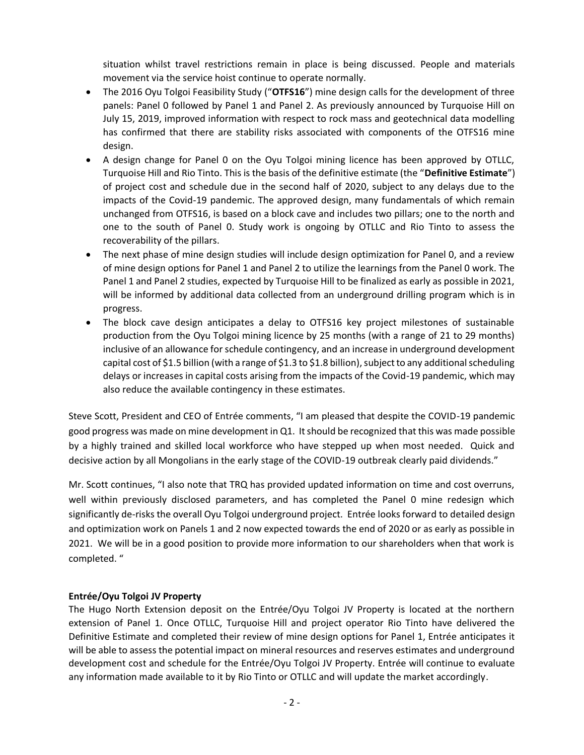situation whilst travel restrictions remain in place is being discussed. People and materials movement via the service hoist continue to operate normally.

- The 2016 Oyu Tolgoi Feasibility Study ("**OTFS16**") mine design calls for the development of three panels: Panel 0 followed by Panel 1 and Panel 2. As previously announced by Turquoise Hill on July 15, 2019, improved information with respect to rock mass and geotechnical data modelling has confirmed that there are stability risks associated with components of the OTFS16 mine design.
- A design change for Panel 0 on the Oyu Tolgoi mining licence has been approved by OTLLC, Turquoise Hill and Rio Tinto. This is the basis of the definitive estimate (the "**Definitive Estimate**") of project cost and schedule due in the second half of 2020, subject to any delays due to the impacts of the Covid-19 pandemic. The approved design, many fundamentals of which remain unchanged from OTFS16, is based on a block cave and includes two pillars; one to the north and one to the south of Panel 0. Study work is ongoing by OTLLC and Rio Tinto to assess the recoverability of the pillars.
- The next phase of mine design studies will include design optimization for Panel 0, and a review of mine design options for Panel 1 and Panel 2 to utilize the learnings from the Panel 0 work. The Panel 1 and Panel 2 studies, expected by Turquoise Hill to be finalized as early as possible in 2021, will be informed by additional data collected from an underground drilling program which is in progress.
- The block cave design anticipates a delay to OTFS16 key project milestones of sustainable production from the Oyu Tolgoi mining licence by 25 months (with a range of 21 to 29 months) inclusive of an allowance for schedule contingency, and an increase in underground development capital cost of \$1.5 billion (with a range of \$1.3 to \$1.8 billion), subject to any additional scheduling delays or increases in capital costs arising from the impacts of the Covid-19 pandemic, which may also reduce the available contingency in these estimates.

Steve Scott, President and CEO of Entrée comments, "I am pleased that despite the COVID-19 pandemic good progress was made on mine development in Q1. It should be recognized that this was made possible by a highly trained and skilled local workforce who have stepped up when most needed. Quick and decisive action by all Mongolians in the early stage of the COVID-19 outbreak clearly paid dividends."

Mr. Scott continues, "I also note that TRQ has provided updated information on time and cost overruns, well within previously disclosed parameters, and has completed the Panel 0 mine redesign which significantly de-risks the overall Oyu Tolgoi underground project. Entrée looks forward to detailed design and optimization work on Panels 1 and 2 now expected towards the end of 2020 or as early as possible in 2021. We will be in a good position to provide more information to our shareholders when that work is completed. "

## **Entrée/Oyu Tolgoi JV Property**

The Hugo North Extension deposit on the Entrée/Oyu Tolgoi JV Property is located at the northern extension of Panel 1. Once OTLLC, Turquoise Hill and project operator Rio Tinto have delivered the Definitive Estimate and completed their review of mine design options for Panel 1, Entrée anticipates it will be able to assess the potential impact on mineral resources and reserves estimates and underground development cost and schedule for the Entrée/Oyu Tolgoi JV Property. Entrée will continue to evaluate any information made available to it by Rio Tinto or OTLLC and will update the market accordingly.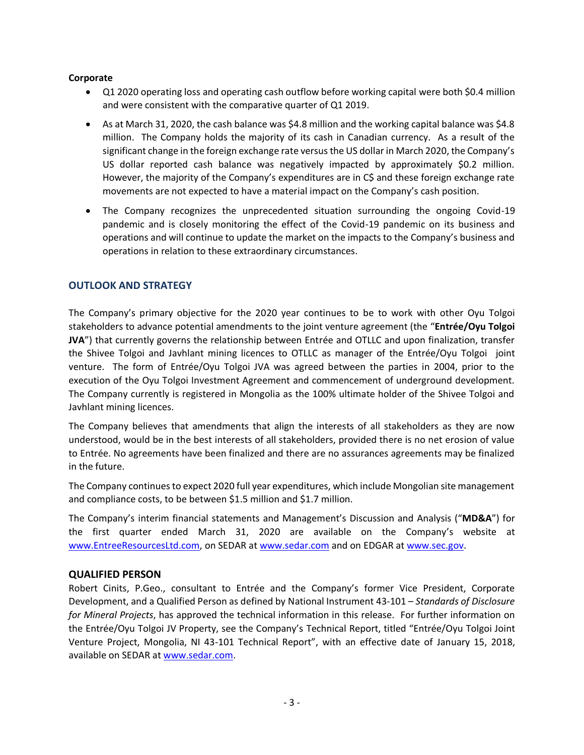#### **Corporate**

- Q1 2020 operating loss and operating cash outflow before working capital were both \$0.4 million and were consistent with the comparative quarter of Q1 2019.
- As at March 31, 2020, the cash balance was \$4.8 million and the working capital balance was \$4.8 million. The Company holds the majority of its cash in Canadian currency. As a result of the significant change in the foreign exchange rate versus the US dollar in March 2020, the Company's US dollar reported cash balance was negatively impacted by approximately \$0.2 million. However, the majority of the Company's expenditures are in C\$ and these foreign exchange rate movements are not expected to have a material impact on the Company's cash position.
- The Company recognizes the unprecedented situation surrounding the ongoing Covid-19 pandemic and is closely monitoring the effect of the Covid-19 pandemic on its business and operations and will continue to update the market on the impacts to the Company's business and operations in relation to these extraordinary circumstances.

# **OUTLOOK AND STRATEGY**

The Company's primary objective for the 2020 year continues to be to work with other Oyu Tolgoi stakeholders to advance potential amendments to the joint venture agreement (the "**Entrée/Oyu Tolgoi JVA**") that currently governs the relationship between Entrée and OTLLC and upon finalization, transfer the Shivee Tolgoi and Javhlant mining licences to OTLLC as manager of the Entrée/Oyu Tolgoi joint venture. The form of Entrée/Oyu Tolgoi JVA was agreed between the parties in 2004, prior to the execution of the Oyu Tolgoi Investment Agreement and commencement of underground development. The Company currently is registered in Mongolia as the 100% ultimate holder of the Shivee Tolgoi and Javhlant mining licences.

The Company believes that amendments that align the interests of all stakeholders as they are now understood, would be in the best interests of all stakeholders, provided there is no net erosion of value to Entrée. No agreements have been finalized and there are no assurances agreements may be finalized in the future.

The Company continues to expect 2020 full year expenditures, which include Mongolian site management and compliance costs, to be between \$1.5 million and \$1.7 million.

The Company's interim financial statements and Management's Discussion and Analysis ("**MD&A**") for the first quarter ended March 31, 2020 are available on the Company's website at [www.EntreeResourcesLtd.com,](http://www.entreeresourcesltd.com/) on SEDAR at [www.sedar.com](http://www.sedar.com/) and on EDGAR a[t www.sec.gov.](http://www.sec.gov/)

## **QUALIFIED PERSON**

Robert Cinits, P.Geo., consultant to Entrée and the Company's former Vice President, Corporate Development, and a Qualified Person as defined by National Instrument 43-101 – *Standards of Disclosure for Mineral Projects*, has approved the technical information in this release. For further information on the Entrée/Oyu Tolgoi JV Property, see the Company's Technical Report, titled "Entrée/Oyu Tolgoi Joint Venture Project, Mongolia, NI 43-101 Technical Report", with an effective date of January 15, 2018, available on SEDAR a[t www.sedar.com.](http://www.sedar.com/)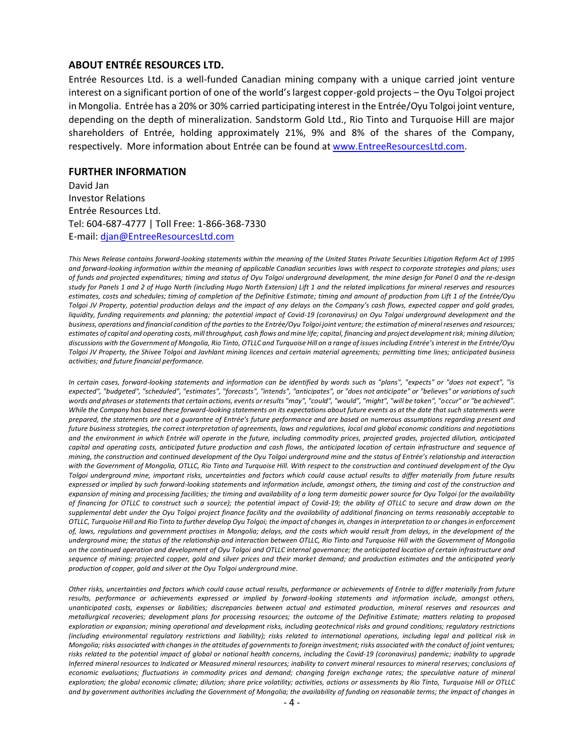# **ABOUT ENTRÉE RESOURCES LTD.**

Entrée Resources Ltd. is a well-funded Canadian mining company with a unique carried joint venture interest on a significant portion of one of the world's largest copper-gold projects – the Oyu Tolgoi project in Mongolia. Entrée has a 20% or 30% carried participating interest in the Entrée/Oyu Tolgoi joint venture, depending on the depth of mineralization. Sandstorm Gold Ltd., Rio Tinto and Turquoise Hill are major shareholders of Entrée, holding approximately 21%, 9% and 8% of the shares of the Company, respectively. More information about Entrée can be found at [www.EntreeResourcesLtd.com.](http://www.entreeresourcesltd.com/)

#### **FURTHER INFORMATION**

David Jan Investor Relations Entrée Resources Ltd. Tel: 604-687-4777 | Toll Free: 1-866-368-7330 E-mail: [djan@EntreeResourcesLtd.com](mailto:djan@EntreeResourcesLtd.com)

*This News Release contains forward-looking statements within the meaning of the United States Private Securities Litigation Reform Act of 1995 and forward-looking information within the meaning of applicable Canadian securities laws with respect to corporate strategies and plans; uses of funds and projected expenditures; timing and status of Oyu Tolgoi underground development, the mine design for Panel 0 and the re-design study for Panels 1 and 2 of Hugo North (including Hugo North Extension) Lift 1 and the related implications for mineral reserves and resources estimates, costs and schedules; timing of completion of the Definitive Estimate; timing and amount of production from Lift 1 of the Entrée/Oyu Tolgoi JV Property, potential production delays and the impact of any delays on the Company's cash flows, expected copper and gold grades, liquidity, funding requirements and planning; the potential impact of Covid-19 (coronavirus) on Oyu Tolgoi underground development and the business, operations and financial condition of the parties to the Entrée/Oyu Tolgoi joint venture; the estimation of mineral reserves and resources; estimates of capital and operating costs, mill throughput, cash flows and mine life; capital, financing and project development risk; mining dilution; discussions with the Government of Mongolia, Rio Tinto, OTLLC and Turquoise Hill on a range of issues including Entrée's interest in the Entrée/Oyu Tolgoi JV Property, the Shivee Tolgoi and Javhlant mining licences and certain material agreements; permitting time lines; anticipated business activities; and future financial performance.*

*In certain cases, forward-looking statements and information can be identified by words such as "plans", "expects" or "does not expect", "is expected", "budgeted", "scheduled", "estimates", "forecasts", "intends", "anticipates", or "does not anticipate" or "believes" or variations of such words and phrases or statements that certain actions, events or results "may", "could", "would", "might", "will be taken", "occur" or "be achieved". While the Company has based these forward-looking statements on its expectations about future events as at the date that such statements were prepared, the statements are not a guarantee of Entrée's future performance and are based on numerous assumptions regarding present and future business strategies, the correct interpretation of agreements, laws and regulations, local and global economic conditions and negotiations and the environment in which Entrée will operate in the future, including commodity prices, projected grades, projected dilution, anticipated capital and operating costs, anticipated future production and cash flows, the anticipated location of certain infrastructure and sequence of mining, the construction and continued development of the Oyu Tolgoi underground mine and the status of Entrée's relationship and interaction with the Government of Mongolia, OTLLC, Rio Tinto and Turquoise Hill. With respect to the construction and continued development of the Oyu Tolgoi underground mine, important risks, uncertainties and factors which could cause actual results to differ materially from future results expressed or implied by such forward-looking statements and information include, amongst others, the timing and cost of the construction and*  expansion of mining and processing facilities; the timing and availability of a long term domestic power source for Oyu Tolgoi (or the availability *of financing for OTLLC to construct such a source); the potential impact of Covid-19; the ability of OTLLC to secure and draw down on the supplemental debt under the Oyu Tolgoi project finance facility and the availability of additional financing on terms reasonably acceptable to OTLLC, Turquoise Hill and Rio Tinto to further develop Oyu Tolgoi; the impact of changes in, changes in interpretation to or changes in enforcement of, laws, regulations and government practises in Mongolia; delays, and the costs which would result from delays, in the development of the underground mine; the status of the relationship and interaction between OTLLC, Rio Tinto and Turquoise Hill with the Government of Mongolia on the continued operation and development of Oyu Tolgoi and OTLLC internal governance; the anticipated location of certain infrastructure and sequence of mining; projected copper, gold and silver prices and their market demand; and production estimates and the anticipated yearly production of copper, gold and silver at the Oyu Tolgoi underground mine.* 

*Other risks, uncertainties and factors which could cause actual results, performance or achievements of Entrée to differ materially from future results, performance or achievements expressed or implied by forward-looking statements and information include, amongst others, unanticipated costs, expenses or liabilities; discrepancies between actual and estimated production, mineral reserves and resources and metallurgical recoveries; development plans for processing resources; the outcome of the Definitive Estimate; matters relating to proposed exploration or expansion; mining operational and development risks, including geotechnical risks and ground conditions; regulatory restrictions (including environmental regulatory restrictions and liability); risks related to international operations, including legal and political risk in Mongolia; risks associated with changes in the attitudes of governments to foreign investment; risks associated with the conduct of joint ventures;*  risks related to the potential impact of global or national health concerns, including the Covid-19 (coronavirus) pandemic; inability to upgrade *Inferred mineral resources to Indicated or Measured mineral resources; inability to convert mineral resources to mineral reserves; conclusions of economic evaluations; fluctuations in commodity prices and demand; changing foreign exchange rates; the speculative nature of mineral exploration; the global economic climate; dilution; share price volatility; activities, actions or assessments by Rio Tinto, Turquoise Hill or OTLLC and by government authorities including the Government of Mongolia; the availability of funding on reasonable terms; the impact of changes in*